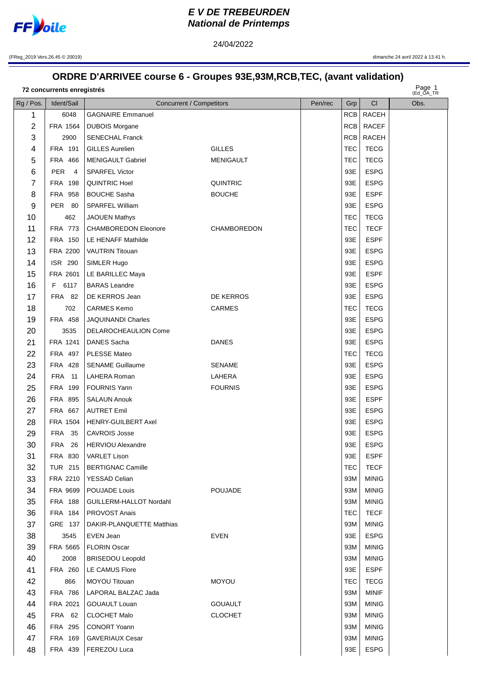

## **EV DE TREBEURDEN National de Printemps**

(FReg\_2019 Vers.26.45 © 20019)

## ORDRE D'ARRIVEE course 6 - Groupes 93E,93M,RCB,TEC, (avant validation)

24/04/2022

72 concurrents enregistrés

Page 1

| Rg / Pos.      | Ident/Sail                 | <b>Concurrent / Competitors</b>  |                  | Pen/rec | Grp        | CI                           | $($ EU_UA_IR<br>Obs. |
|----------------|----------------------------|----------------------------------|------------------|---------|------------|------------------------------|----------------------|
| 1              | 6048                       | <b>GAGNAIRE Emmanuel</b>         |                  |         | RCB        | <b>RACEH</b>                 |                      |
| $\overline{2}$ | FRA 1564                   | <b>DUBOIS Morgane</b>            |                  |         | RCB        | <b>RACEF</b>                 |                      |
| 3              | 2900                       | <b>SENECHAL Franck</b>           |                  |         |            | RCB RACEH                    |                      |
| 4              | FRA 191                    | <b>GILLES Aurelien</b>           | <b>GILLES</b>    |         | <b>TEC</b> | <b>TECG</b>                  |                      |
| 5              | FRA 466                    | <b>MENIGAULT Gabriel</b>         | <b>MENIGAULT</b> |         | <b>TEC</b> | <b>TECG</b>                  |                      |
| 6              | PER <sub>4</sub>           | <b>SPARFEL Victor</b>            |                  |         | 93E        | <b>ESPG</b>                  |                      |
| 7              | <b>FRA 198</b>             | <b>QUINTRIC Hoel</b>             | <b>QUINTRIC</b>  |         | 93E        | <b>ESPG</b>                  |                      |
| 8              | <b>FRA 958</b>             | <b>BOUCHE Sasha</b>              | <b>BOUCHE</b>    |         | 93E        | <b>ESPF</b>                  |                      |
| 9              | PER 80                     | SPARFEL William                  |                  |         | 93E        | <b>ESPG</b>                  |                      |
| 10             | 462                        | <b>JAOUEN Mathys</b>             |                  |         | <b>TEC</b> | <b>TECG</b>                  |                      |
| 11             | FRA 773                    | <b>CHAMBOREDON Eleonore</b>      | CHAMBOREDON      |         | <b>TEC</b> | <b>TECF</b>                  |                      |
| 12             | <b>FRA 150</b>             | LE HENAFF Mathilde               |                  |         | 93E        | <b>ESPF</b>                  |                      |
| 13             | FRA 2200                   | <b>VAUTRIN Titouan</b>           |                  |         | 93E        | <b>ESPG</b>                  |                      |
| 14             | <b>ISR 290</b>             | SIMLER Hugo                      |                  |         | 93E        | <b>ESPG</b>                  |                      |
| 15             | FRA 2601                   | LE BARILLEC Maya                 |                  |         | 93E        | <b>ESPF</b>                  |                      |
| 16             | F 6117                     | <b>BARAS</b> Leandre             |                  |         | 93E        | <b>ESPG</b>                  |                      |
| 17             | <b>FRA 82</b>              | DE KERROS Jean                   | DE KERROS        |         | 93E        | <b>ESPG</b>                  |                      |
| 18             | 702                        | <b>CARMES Kemo</b>               | <b>CARMES</b>    |         | TEC        | <b>TECG</b>                  |                      |
| 19             | FRA 458                    | <b>JAQUINANDI Charles</b>        |                  |         | 93E        | <b>ESPG</b>                  |                      |
| 20             | 3535                       | DELAROCHEAULION Come             |                  |         | 93E        | <b>ESPG</b>                  |                      |
| 21             | FRA 1241                   | DANES Sacha                      | <b>DANES</b>     |         | 93E        | <b>ESPG</b>                  |                      |
| 22             | FRA 497                    | PLESSE Mateo                     |                  |         | <b>TEC</b> | <b>TECG</b>                  |                      |
| 23             | FRA 428                    | <b>SENAME Guillaume</b>          | <b>SENAME</b>    |         | 93E        | <b>ESPG</b>                  |                      |
| 24             | <b>FRA</b> 11              | LAHERA Roman                     | LAHERA           |         | 93E        | <b>ESPG</b>                  |                      |
| 25             | FRA 199                    | <b>FOURNIS Yann</b>              | <b>FOURNIS</b>   |         | 93E        | <b>ESPG</b>                  |                      |
| 26             | FRA 895                    | <b>SALAUN Anouk</b>              |                  |         | 93E        | <b>ESPF</b>                  |                      |
| 27             | <b>FRA 667</b>             | <b>AUTRET Emil</b>               |                  |         | 93E        | <b>ESPG</b>                  |                      |
| 28             | FRA 1504                   | <b>HENRY-GUILBERT Axel</b>       |                  |         | 93E        | <b>ESPG</b>                  |                      |
| 29             | <b>FRA 35</b>              | <b>CAVROIS Josse</b>             |                  |         | 93E        | <b>ESPG</b>                  |                      |
| 30             | FRA 26                     | <b>HERVIOU Alexandre</b>         |                  |         | 93E        | <b>ESPG</b>                  |                      |
| 31             | FRA 830                    | VARLET Lison                     |                  |         | 93E        | <b>ESPF</b>                  |                      |
| 32             | <b>TUR 215</b><br>FRA 2210 | <b>BERTIGNAC Camille</b>         |                  |         | TEC        | <b>TECF</b>                  |                      |
| 33<br>34       | FRA 9699                   | YESSAD Celian<br>POUJADE Louis   | <b>POUJADE</b>   |         | 93M<br>93M | <b>MINIG</b><br><b>MINIG</b> |                      |
| 35             | <b>FRA 188</b>             | GUILLERM-HALLOT Nordahl          |                  |         | 93M        | <b>MINIG</b>                 |                      |
| 36             | FRA 184                    | <b>PROVOST Anais</b>             |                  |         | <b>TEC</b> | <b>TECF</b>                  |                      |
| 37             | GRE 137                    | <b>DAKIR-PLANQUETTE Matthias</b> |                  |         | 93M        | <b>MINIG</b>                 |                      |
| 38             | 3545                       | EVEN Jean                        | <b>EVEN</b>      |         | 93E        | <b>ESPG</b>                  |                      |
| 39             | FRA 5665                   | <b>FLORIN Oscar</b>              |                  |         | 93M        | <b>MINIG</b>                 |                      |
| 40             | 2008                       | <b>BRISEDOU Leopold</b>          |                  |         | 93M        | <b>MINIG</b>                 |                      |
| 41             | <b>FRA 260</b>             | LE CAMUS Flore                   |                  |         | 93E        | <b>ESPF</b>                  |                      |
| 42             | 866                        | MOYOU Titouan                    | <b>MOYOU</b>     |         | TEC        | <b>TECG</b>                  |                      |
| 43             | <b>FRA 786</b>             | LAPORAL BALZAC Jada              |                  |         | 93M        | <b>MINIF</b>                 |                      |
| 44             | FRA 2021                   | GOUAULT Louan                    | <b>GOUAULT</b>   |         | 93M        | <b>MINIG</b>                 |                      |
| 45             | <b>FRA 62</b>              | CLOCHET Malo                     | <b>CLOCHET</b>   |         | 93M        | <b>MINIG</b>                 |                      |
| 46             | FRA 295                    | <b>CONORT Yoann</b>              |                  |         | 93M        | <b>MINIG</b>                 |                      |
| 47             | FRA 169                    | <b>GAVERIAUX Cesar</b>           |                  |         | 93M        | <b>MINIG</b>                 |                      |
| 48             | FRA 439                    | FEREZOU Luca                     |                  |         | 93E        | <b>ESPG</b>                  |                      |
|                |                            |                                  |                  |         |            |                              |                      |